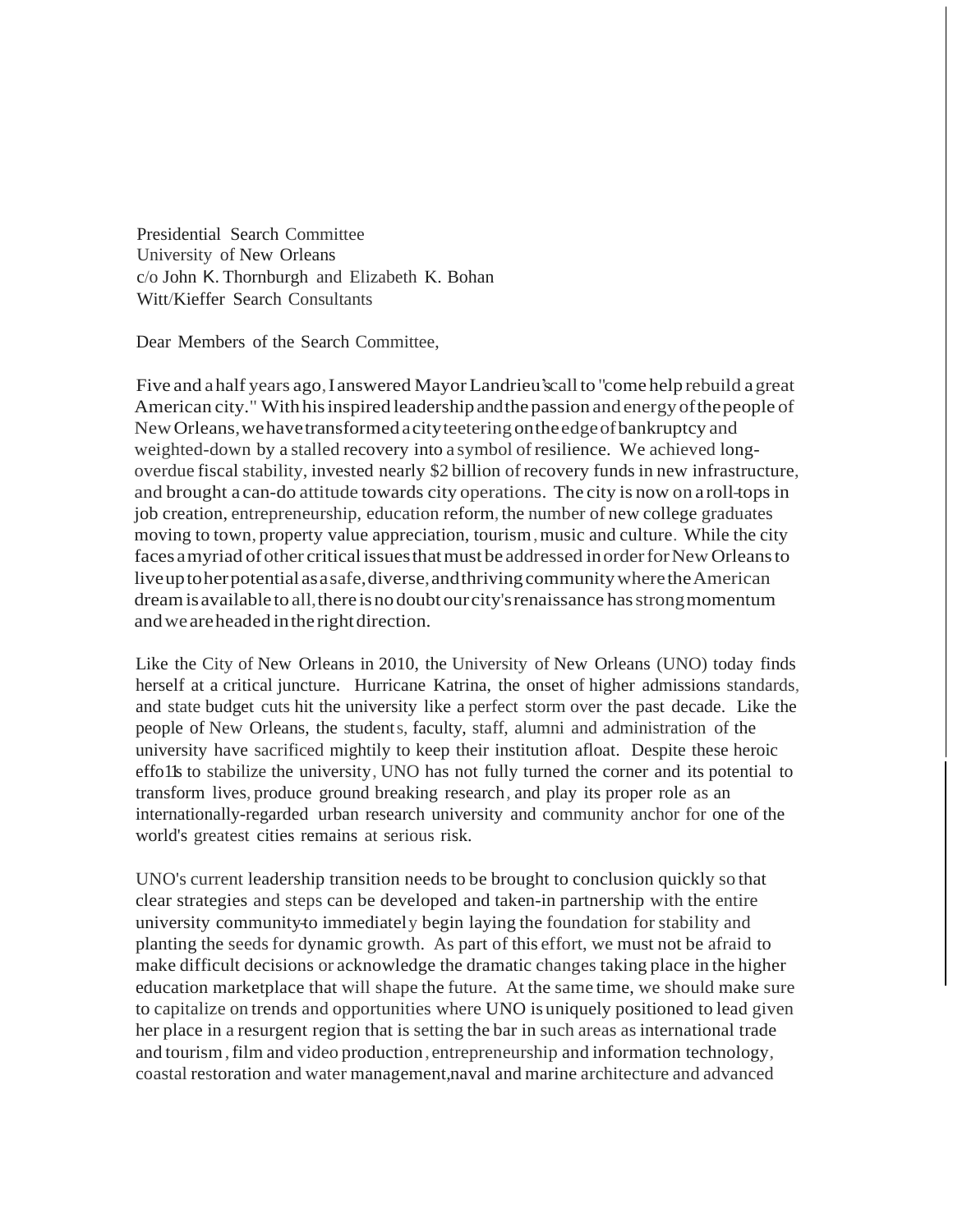Presidential Search Committee University of New Orleans c/o John K. Thornburgh and Elizabeth K. Bohan Witt/Kieffer Search Consultants

Dear Members of the Search Committee,

Five and ahalf years ago,Ianswered Mayor Landrieu'scall to "come help rebuild agreat American city." With his inspired leadership and the passion and energy of the people of NewOrleans,wehavetransformedacityteeteringontheedgeofbankruptcy and weighted-down by a stalled recovery into a symbol of resilience. We achieved longoverdue fiscal stability, invested nearly \$2 billion of recovery funds in new infrastructure, and brought a can-do attitude towards city operations. The city is now on a roll-tops in job creation, entrepreneurship, education reform, the number of new college graduates moving to town, property value appreciation, tourism, music and culture. While the city faces a myriad of other critical issues that must be addressed in order for New Orleans to liveuptoherpotential asasafe,diverse,andthrivingcommunitywheretheAmerican dreamisavailable to all,there isno doubt our city'srenaissance hasstrongmomentum and we are headed in the right direction.

Like the City of New Orleans in 2010, the University of New Orleans (UNO) today finds herself at a critical juncture. Hurricane Katrina, the onset of higher admissions standards, and state budget cuts hit the university like a perfect storm over the past decade. Like the people of New Orleans, the students, faculty, staff, alumni and administration of the university have sacrificed mightily to keep their institution afloat. Despite these heroic effo1ls to stabilize the university, UNO has not fully turned the corner and its potential to transform lives, produce ground breaking research, and play its proper role as an internationally-regarded urban research university and community anchor for one of the world's greatest cities remains at serious risk.

UNO's current leadership transition needs to be brought to conclusion quickly so that clear strategies and steps can be developed and taken-in partnership with the entire university community-to immediately begin laying the foundation for stability and planting the seeds for dynamic growth. As part of this effort, we must not be afraid to make difficult decisions or acknowledge the dramatic changes taking place in the higher education marketplace that will shape the future. At the same time, we should make sure to capitalize on trends and opportunities where UNO is uniquely positioned to lead given her place in a resurgent region that is setting the bar in such areas as international trade and tourism,film and video production, entrepreneurship and information technology, coastal restoration and water management,naval and marine architecture and advanced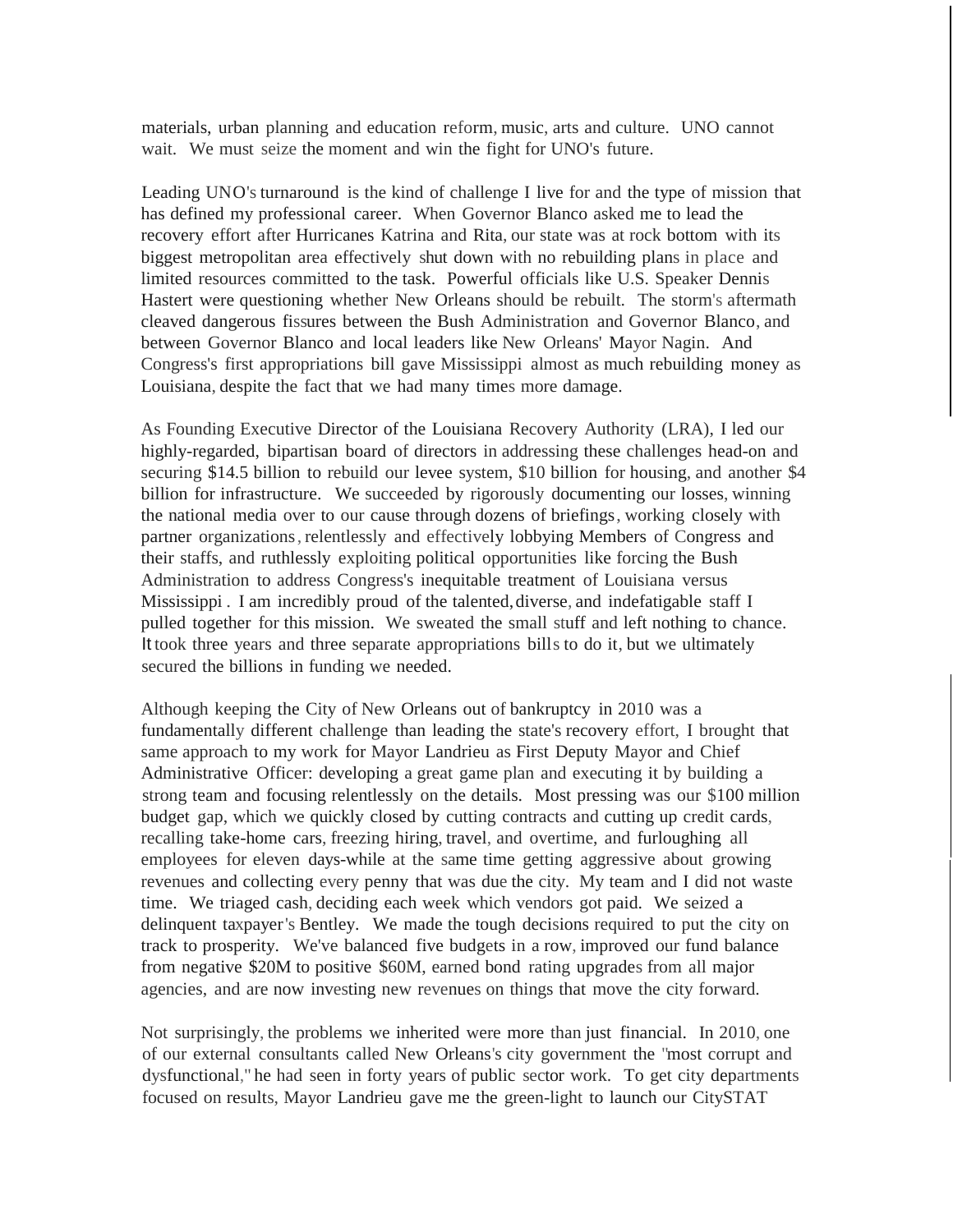materials, urban planning and education reform, music, arts and culture. UNO cannot wait. We must seize the moment and win the fight for UNO's future.

Leading UNO's turnaround is the kind of challenge I live for and the type of mission that has defined my professional career. When Governor Blanco asked me to lead the recovery effort after Hurricanes Katrina and Rita, our state was at rock bottom with its biggest metropolitan area effectively shut down with no rebuilding plans in place and limited resources committed to the task. Powerful officials like U.S. Speaker Dennis Hastert were questioning whether New Orleans should be rebuilt. The storm's aftermath cleaved dangerous fissures between the Bush Administration and Governor Blanco, and between Governor Blanco and local leaders like New Orleans' Mayor Nagin. And Congress's first appropriations bill gave Mississippi almost as much rebuilding money as Louisiana, despite the fact that we had many times more damage.

As Founding Executive Director of the Louisiana Recovery Authority (LRA), I led our highly-regarded, bipartisan board of directors in addressing these challenges head-on and securing \$14.5 billion to rebuild our levee system, \$10 billion for housing, and another \$4 billion for infrastructure. We succeeded by rigorously documenting our losses, winning the national media over to our cause through dozens of briefings, working closely with partner organizations, relentlessly and effectively lobbying Members of Congress and their staffs, and ruthlessly exploiting political opportunities like forcing the Bush Administration to address Congress's inequitable treatment of Louisiana versus Mississippi . I am incredibly proud of the talented, diverse, and indefatigable staff I pulled together for this mission. We sweated the small stuff and left nothing to chance. It took three years and three separate appropriations bills to do it, but we ultimately secured the billions in funding we needed.

Although keeping the City of New Orleans out of bankruptcy in 2010 was a fundamentally different challenge than leading the state's recovery effort, I brought that same approach to my work for Mayor Landrieu as First Deputy Mayor and Chief Administrative Officer: developing a great game plan and executing it by building a strong team and focusing relentlessly on the details. Most pressing was our \$100 million budget gap, which we quickly closed by cutting contracts and cutting up credit cards, recalling take-home cars, freezing hiring, travel, and overtime, and furloughing all employees for eleven days-while at the same time getting aggressive about growing revenues and collecting every penny that was due the city. My team and I did not waste time. We triaged cash, deciding each week which vendors got paid. We seized a delinquent taxpayer's Bentley. We made the tough decisions required to put the city on track to prosperity. We've balanced five budgets in a row, improved our fund balance from negative \$20M to positive \$60M, earned bond rating upgrades from all major agencies, and are now investing new revenues on things that move the city forward.

Not surprisingly, the problems we inherited were more than just financial. In 2010, one of our external consultants called New Orleans's city government the "most corrupt and dysfunctional," he had seen in forty years of public sector work. To get city departments focused on results, Mayor Landrieu gave me the green-light to launch our CitySTAT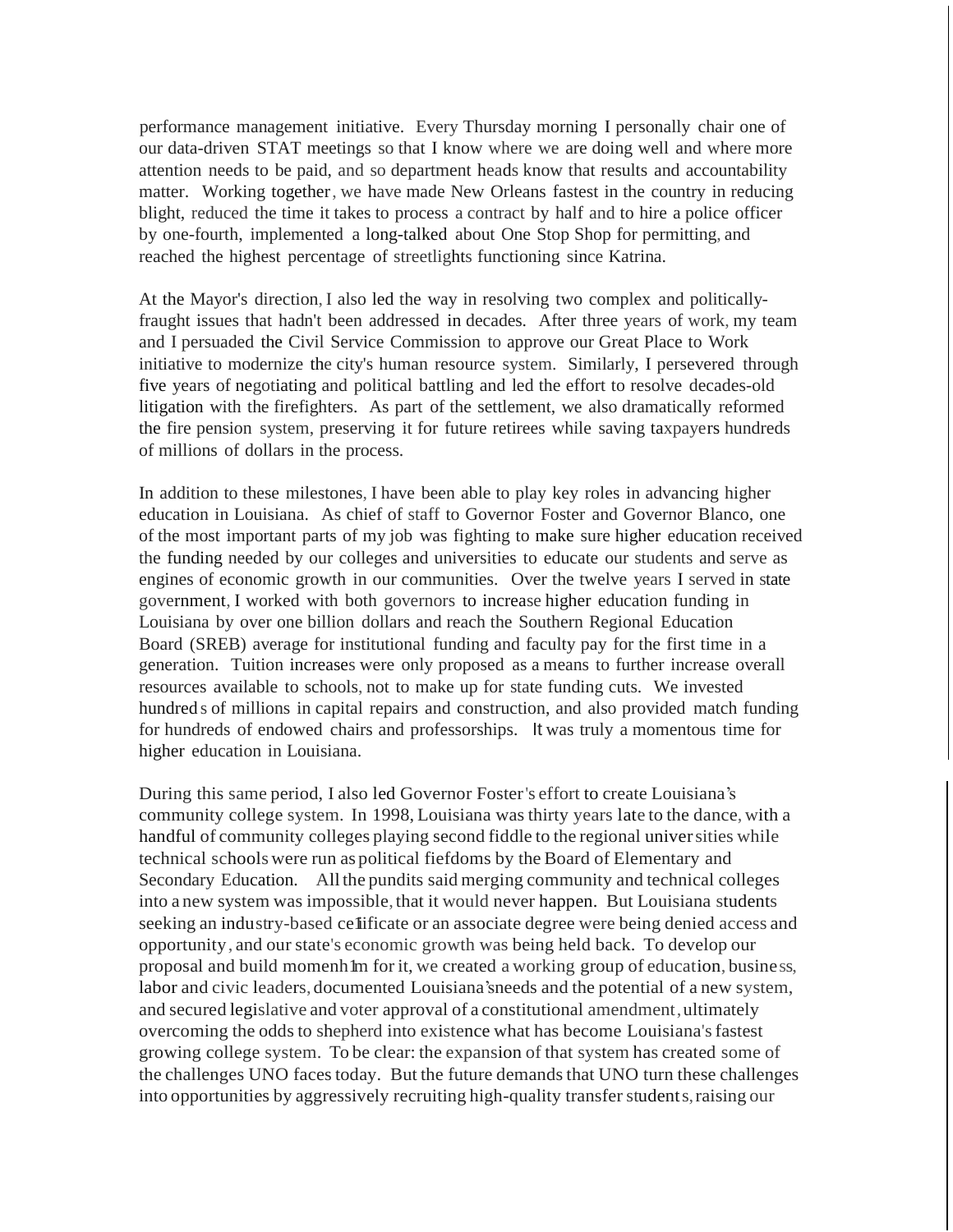performance management initiative. Every Thursday morning I personally chair one of our data-driven STAT meetings so that I know where we are doing well and where more attention needs to be paid, and so department heads know that results and accountability matter. Working together, we have made New Orleans fastest in the country in reducing blight, reduced the time it takes to process a contract by half and to hire a police officer by one-fourth, implemented a long-talked about One Stop Shop for permitting, and reached the highest percentage of streetlights functioning since Katrina.

At the Mayor's direction, I also led the way in resolving two complex and politicallyfraught issues that hadn't been addressed in decades. After three years of work, my team and I persuaded the Civil Service Commission to approve our Great Place to Work initiative to modernize the city's human resource system. Similarly, I persevered through five years of negotiating and political battling and led the effort to resolve decades-old litigation with the firefighters. As part of the settlement, we also dramatically reformed the fire pension system, preserving it for future retirees while saving taxpayers hundreds of millions of dollars in the process.

In addition to these milestones, I have been able to play key roles in advancing higher education in Louisiana. As chief of staff to Governor Foster and Governor Blanco, one of the most important parts of my job was fighting to make sure higher education received the funding needed by our colleges and universities to educate our students and serve as engines of economic growth in our communities. Over the twelve years I served in state government, I worked with both governors to increase higher education funding in Louisiana by over one billion dollars and reach the Southern Regional Education Board (SREB) average for institutional funding and faculty pay for the first time in a generation. Tuition increases were only proposed as a means to further increase overall resources available to schools, not to make up for state funding cuts. We invested hundred s of millions in capital repairs and construction, and also provided match funding for hundreds of endowed chairs and professorships. It was truly a momentous time for higher education in Louisiana.

During this same period, I also led Governor Foster's effort to create Louisiana's community college system. In 1998, Louisiana was thirty years late to the dance, with a handful of community colleges playing second fiddle to the regional universities while technical schools were run as political fiefdoms by the Board of Elementary and Secondary Education. All the pundits said merging community and technical colleges into a new system was impossible, that it would never happen. But Louisiana students seeking an industry-based celificate or an associate degree were being denied access and opportunity, and our state's economic growth was being held back. To develop our proposal and build momenh lm for it, we created a working group of education, business, labor and civic leaders, documented Louisiana'sneeds and the potential of a new system, and secured legislative and voter approval of a constitutional amendment,ultimately overcoming the oddsto shepherd into existence what has become Louisiana'sfastest growing college system. To be clear: the expansion of that system has created some of the challenges UNO faces today. But the future demands that UNO turn these challenges into opportunities by aggressively recruiting high-quality transferstudents,raising our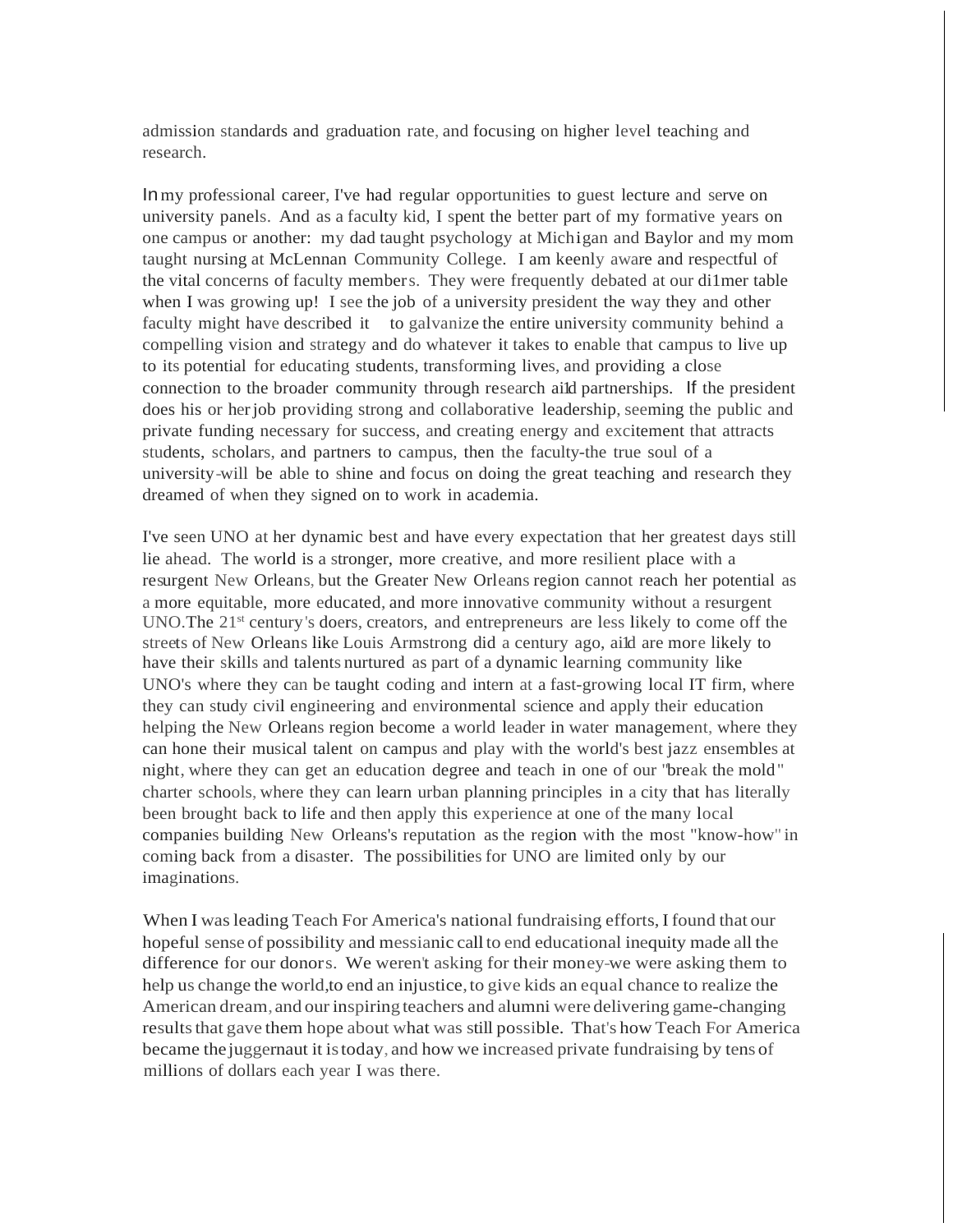admission standards and graduation rate, and focusing on higher level teaching and research.

Inmy professional career, I've had regular opportunities to guest lecture and serve on university panels. And as a faculty kid, I spent the better part of my formative years on one campus or another: my dad taught psychology at Michigan and Baylor and my mom taught nursing at McLennan Community College. I am keenly aware and respectful of the vital concerns of faculty members. They were frequently debated at our di1mer table when I was growing up! I see the job of a university president the way they and other faculty might have described it to galvanize the entire university community behind a compelling vision and strategy and do whatever it takes to enable that campus to live up to its potential for educating students, transforming lives, and providing a close connection to the broader community through research aild partnerships. If the president does his or herjob providing strong and collaborative leadership, seeming the public and private funding necessary for success, and creating energy and excitement that attracts students, scholars, and partners to campus, then the faculty-the true soul of a university-will be able to shine and focus on doing the great teaching and research they dreamed of when they signed on to work in academia.

I've seen UNO at her dynamic best and have every expectation that her greatest days still lie ahead. The world is a stronger, more creative, and more resilient place with a resurgent New Orleans, but the Greater New Orleans region cannot reach her potential as a more equitable, more educated, and more innovative community without a resurgent UNO. The  $21<sup>st</sup>$  century's doers, creators, and entrepreneurs are less likely to come off the streets of New Orleans like Louis Armstrong did a century ago, ai1d are more likely to have their skills and talents nurtured as part of a dynamic learning community like UNO's where they can be taught coding and intern at a fast-growing local IT firm, where they can study civil engineering and environmental science and apply their education helping the New Orleans region become a world leader in water management, where they can hone their musical talent on campus and play with the world's best jazz ensembles at night, where they can get an education degree and teach in one of our "break the mold" charter schools, where they can learn urban planning principles in a city that has literally been brought back to life and then apply this experience at one of the many local companies building New Orleans's reputation as the region with the most "know-how" in coming back from a disaster. The possibilities for UNO are limited only by our imaginations.

When I wasleading Teach For America's national fundraising efforts, I found that our hopeful sense of possibility and messianic call to end educational inequity made all the difference for our donors. We weren't asking for their money-we were asking them to help us change the world,to end an injustice,to give kids an equal chance to realize the American dream, and our inspiring teachers and alumni were delivering game-changing results that gave them hope about what was still possible. That's how Teach For America became the juggernaut it istoday, and how we increased private fundraising by tens of millions of dollars each year I was there.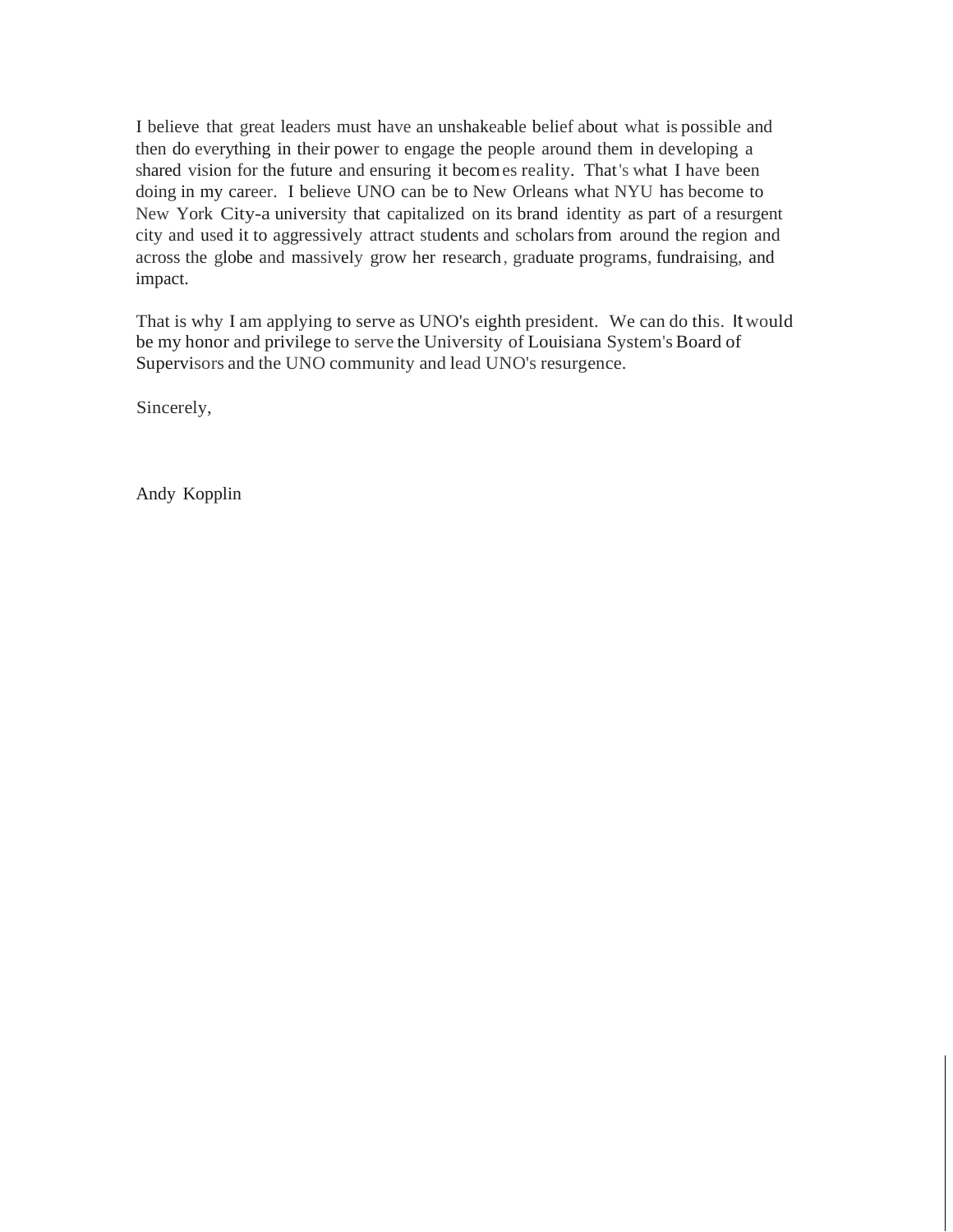I believe that great leaders must have an unshakeable belief about what is possible and then do everything in their power to engage the people around them in developing a shared vision for the future and ensuring it becomes reality. That's what I have been doing in my career. I believe UNO can be to New Orleans what NYU has become to New York City-a university that capitalized on its brand identity as part of a resurgent city and used it to aggressively attract students and scholarsfrom around the region and across the globe and massively grow her research, graduate programs, fundraising, and impact.

That is why I am applying to serve as UNO's eighth president. We can do this. It would be my honor and privilege to serve the University of Louisiana System's Board of Supervisors and the UNO community and lead UNO's resurgence.

Sincerely,

Andy Kopplin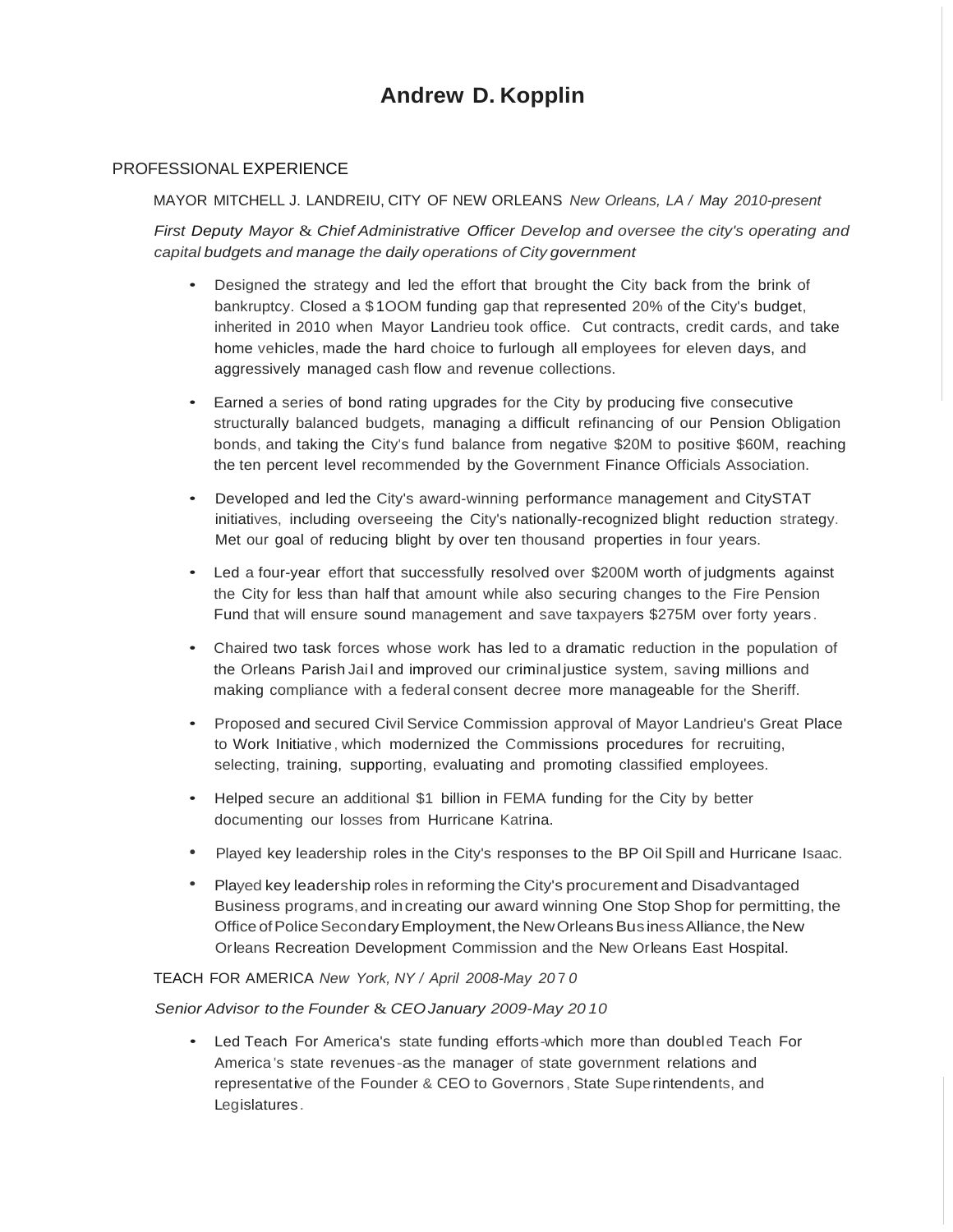# **Andrew D. Kopplin**

#### PROFESSIONAL EXPERIENCE

MAYOR MITCHELL J. LANDREIU, CITY OF NEW ORLEANS *New Orleans, LA / May 2010-present*

*First Deputy Mayor* & *Chief Administrative Officer Develop and oversee the city's operating and capital budgets and manage the daily operations of City government*

- Designed the strategy and led the effort that brought the City back from the brink of bankruptcy. Closed a \$ 1OOM funding gap that represented 20% of the City's budget, inherited in 2010 when Mayor Landrieu took office. Cut contracts, credit cards, and take home vehicles, made the hard choice to furlough all employees for eleven days, and aggressively managed cash flow and revenue collections.
- Earned a series of bond rating upgrades for the City by producing five consecutive structurally balanced budgets, managing a difficult refinancing of our Pension Obligation bonds, and taking the City's fund balance from negative \$20M to positive \$60M, reaching the ten percent level recommended by the Government Finance Officials Association.
- Developed and led the City's award-winning performance management and CitySTAT initiatives, including overseeing the City's nationally-recognized blight reduction strategy. Met our goal of reducing blight by over ten thousand properties in four years.
- Led a four-year effort that successfully resolved over \$200M worth of judgments against the City for less than half that amount while also securing changes to the Fire Pension Fund that will ensure sound management and save taxpayers \$275M over forty years .
- Chaired two task forces whose work has led to a dramatic reduction in the population of the Orleans Parish Jail and improved our criminal justice system, saving millions and making compliance with a federal consent decree more manageable for the Sheriff.
- Proposed and secured Civil Service Commission approval of Mayor Landrieu's Great Place to Work Initiative, which modernized the Commissions procedures for recruiting, selecting, training, supporting, evaluating and promoting classified employees.
- Helped secure an additional \$1 billion in FEMA funding for the City by better documenting our losses from Hurricane Katrina.
- Played key leadership roles in the City's responses to the BP Oil Spill and Hurricane Isaac.
- Played key leadership roles in reforming the City's procurement and Disadvantaged Business programs,and increating our award winning One Stop Shop for permitting, the Office of Police Secondary Employment, the New Orleans Bus iness Alliance, the New Orleans Recreation Development Commission and the New Orleans East Hospital.

#### TEACH FOR AMERICA *New York, NY / April 2008-May 20* 7 *0*

#### *Senior Advisor to the Founder* & *CEOJanuary 2009-May 20 10*

• Led Teach For America's state funding efforts-which more than doubled Teach For America's state revenues-as the manager of state government relations and representative of the Founder & CEO to Governors , State Superintendents, and Legislatures.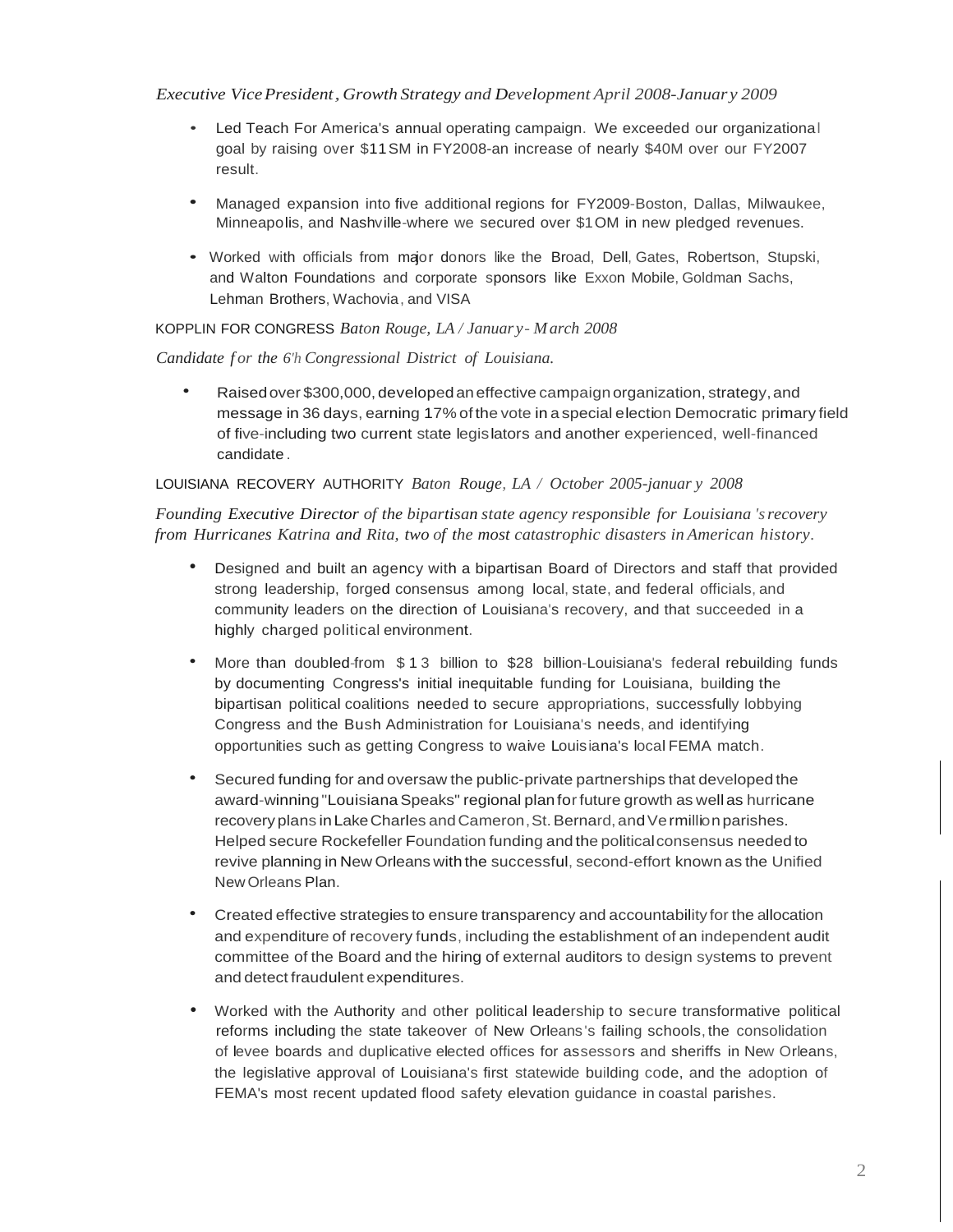## *Executive VicePresident,Growth Strategy and Development April 2008-Januar y 2009*

- Led Teach For America's annual operating campaign. We exceeded our organizational goal by raising over \$11SM in FY2008-an increase of nearly \$40M over our FY2007 result.
- Managed expansion into five additional regions for FY2009-Boston, Dallas, Milwaukee, Minneapolis, and Nashville-where we secured over \$1OM in new pledged revenues.
- Worked with officials from major donors like the Broad, Dell, Gates, Robertson, Stupski, and Walton Foundations and corporate sponsors like Exxon Mobile, Goldman Sachs, Lehman Brothers, Wachovia, and VISA

## KOPPLIN FOR CONGRESS *Baton Rouge, LA / Januar y- March 2008*

## *Candidate f or the 6'h Congressional District of Louisiana.*

• Raisedover \$300,000, developedaneffective campaignorganization, strategy,and message in 36 days, earning 17% of the vote in a special election Democratic primary field of five-including two current state legislators and another experienced, well-financed candidate .

## LOUISIANA RECOVERY AUTHORITY *Baton Rouge, LA / October 2005-januar y 2008*

*Founding Executive Director of the bipartisan state agency responsible for Louisiana 'srecovery from Hurricanes Katrina and Rita, two of the most catastrophic disasters in American history.*

- Designed and built an agency with a bipartisan Board of Directors and staff that provided strong leadership, forged consensus among local, state, and federal officials, and community leaders on the direction of Louisiana's recovery, and that succeeded in a highly charged political environment.
- More than doubled-from \$13 billion to \$28 billion-Louisiana's federal rebuilding funds by documenting Congress's initial inequitable funding for Louisiana, building the bipartisan political coalitions needed to secure appropriations, successfully lobbying Congress and the Bush Administration for Louisiana's needs, and identifying opportunities such as getting Congress to waive Louisiana's local FEMA match.
- Secured funding for and oversaw the public-private partnerships that developed the award-winning "LouisianaSpeaks" regional planforfuture growth as well as hurricane recovery plans in Lake Charles and Cameron, St. Bernard, and Ve rmillion parishes. Helped secure Rockefeller Foundation funding and the politicalconsensus needed to revive planning in New Orleans with the successful, second-effort known as the Unified NewOrleans Plan.
- Created effective strategies to ensure transparency and accountability for the allocation and expenditure of recovery funds, including the establishment of an independent audit committee of the Board and the hiring of external auditors to design systems to prevent and detect fraudulent expenditures.
- Worked with the Authority and other political leadership to secure transformative political reforms including the state takeover of New Orleans 's failing schools, the consolidation of levee boards and duplicative elected offices for assessors and sheriffs in New Orleans, the legislative approval of Louisiana's first statewide building code, and the adoption of FEMA's most recent updated flood safety elevation guidance in coastal parishes.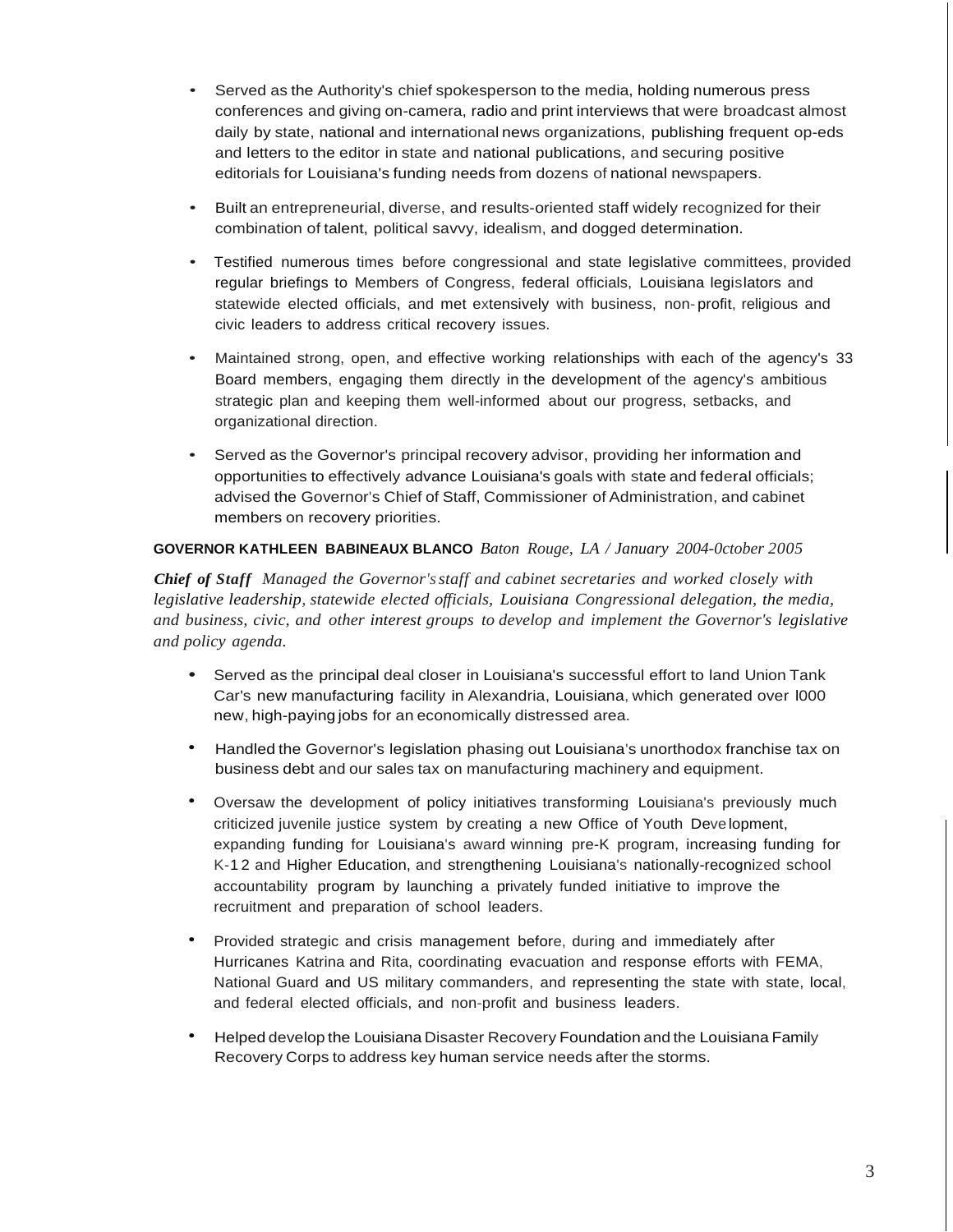- Served as the Authority's chief spokesperson to the media, holding numerous press conferences and giving on-camera, radio and print interviews that were broadcast almost daily by state, national and international news organizations, publishing frequent op-eds and letters to the editor in state and national publications, and securing positive editorials for Louisiana's funding needs from dozens of national newspapers.
- Built an entrepreneurial, diverse, and results-oriented staff widely recognized for their combination of talent, political savvy, idealism, and dogged determination.
- Testified numerous times before congressional and state legislative committees, provided regular briefings to Members of Congress, federal officials, Louisiana legislators and statewide elected officials, and met extensively with business, non- profit, religious and civic leaders to address critical recovery issues.
- Maintained strong, open, and effective working relationships with each of the agency's 33 Board members, engaging them directly in the development of the agency's ambitious strategic plan and keeping them well-informed about our progress, setbacks, and organizational direction.
- Served as the Governor's principal recovery advisor, providing her information and opportunities to effectively advance Louisiana's goals with state and federal officials; advised the Governor's Chief of Staff, Commissioner of Administration, and cabinet members on recovery priorities.

## **GOVERNOR KATHLEEN BABINEAUX BLANCO** *Baton Rouge, LA / January 2004-0ctober 2005*

*Chief of Staff Managed the Governor'sstaff and cabinet secretaries and worked closely with legislative leadership, statewide elected officials, Louisiana Congressional delegation, the media, and business, civic, and other interest groups to develop and implement the Governor's legislative and policy agenda.*

- Served as the principal deal closer in Louisiana's successful effort to land Union Tank Car's new manufacturing facility in Alexandria, Louisiana, which generated over l000 new, high-paying jobs for an economically distressed area.
- Handled the Governor's legislation phasing out Louisiana's unorthodox franchise tax on business debt and our sales tax on manufacturing machinery and equipment.
- Oversaw the development of policy initiatives transforming Louisiana's previously much criticized juvenile justice system by creating a new Office of Youth Development, expanding funding for Louisiana's award winning pre-K program, increasing funding for K-1 2 and Higher Education, and strengthening Louisiana's nationally-recognized school accountability program by launching a privately funded initiative to improve the recruitment and preparation of school leaders.
- Provided strategic and crisis management before, during and immediately after Hurricanes Katrina and Rita, coordinating evacuation and response efforts with FEMA, National Guard and US military commanders, and representing the state with state, local, and federal elected officials, and non-profit and business leaders.
- Helped develop the Louisiana Disaster Recovery Foundation and the Louisiana Family Recovery Corps to address key human service needs after the storms.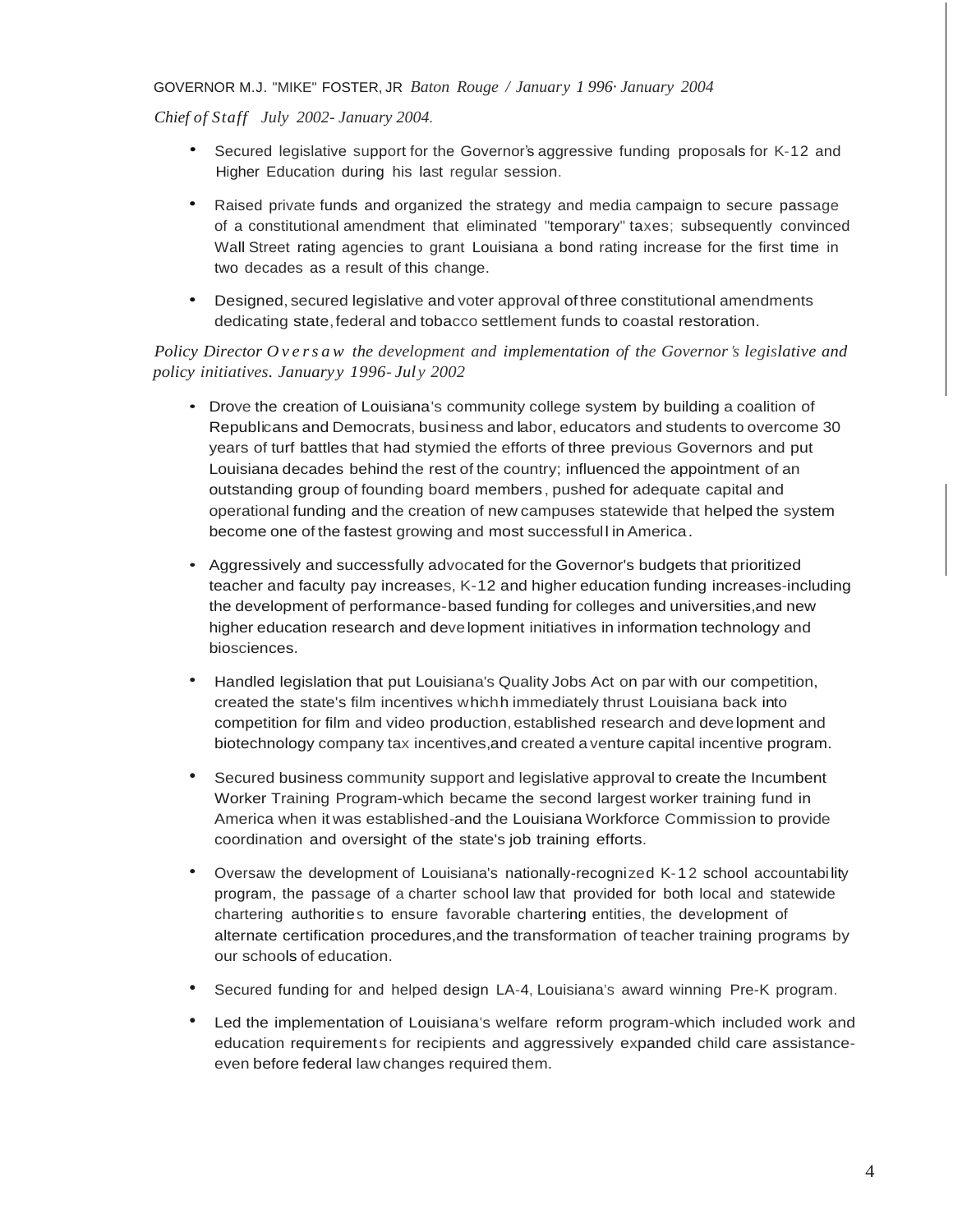#### GOVERNOR M.J. "MIKE" FOSTER, JR *Baton Rouge / January 1 996· January 2004*

*Chief of Staff July 2002- January 2004.*

- Secured legislative support for the Governor's aggressive funding proposals for K-12 and Higher Education during his last regular session.
- Raised private funds and organized the strategy and media campaign to secure passage of a constitutional amendment that eliminated "temporary" taxes; subsequently convinced Wall Street rating agencies to grant Louisiana a bond rating increase for the first time in two decades as a result of this change.
- Designed, secured legislative and voter approval of three constitutional amendments dedicating state,federal and tobacco settlement funds to coastal restoration.

## *Policy Director O v e r s a w the development and implementation of the Governor's legislative and policy initiatives. Januaryy 1996- Jul y 2002*

- Drove the creation of Louisiana's community college system by building a coalition of Republicans and Democrats, business and labor, educators and students to overcome 30 years of turf battles that had stymied the efforts of three previous Governors and put Louisiana decades behind the rest of the country; influenced the appointment of an outstanding group of founding board members , pushed for adequate capital and operational funding and the creation of new campuses statewide that helped the system become one of the fastest growing and most successfull in America.
- Aggressively and successfully advocated for the Governor's budgets that prioritized teacher and faculty pay increases, K-12 and higher education funding increases-including the development of performance-based funding for colleges and universities,and new higher education research and development initiatives in information technology and biosciences.
- Handled legislation that put Louisiana's Quality Jobs Act on par with our competition, created the state's film incentives whichh immediately thrust Louisiana back into competition for film and video production,established research and development and biotechnology company tax incentives,and created a venture capital incentive program.
- Secured business community support and legislative approval to create the Incumbent Worker Training Program-which became the second largest worker training fund in America when it was established-and the Louisiana Workforce Commission to provide coordination and oversight of the state's job training efforts.
- Oversaw the development of Louisiana's nationally-recognized K-1 2 school accountabi lity program, the passage of a charter school law that provided for both local and statewide chartering authorities to ensure favorable chartering entities, the development of alternate certification procedures,and the transformation of teacher training programs by our schools of education.
- Secured funding for and helped design LA-4, Louisiana's award winning Pre-K program.
- Led the implementation of Louisiana's welfare reform program-which included work and education requirements for recipients and aggressively expanded child care assistanceeven before federal law changes required them.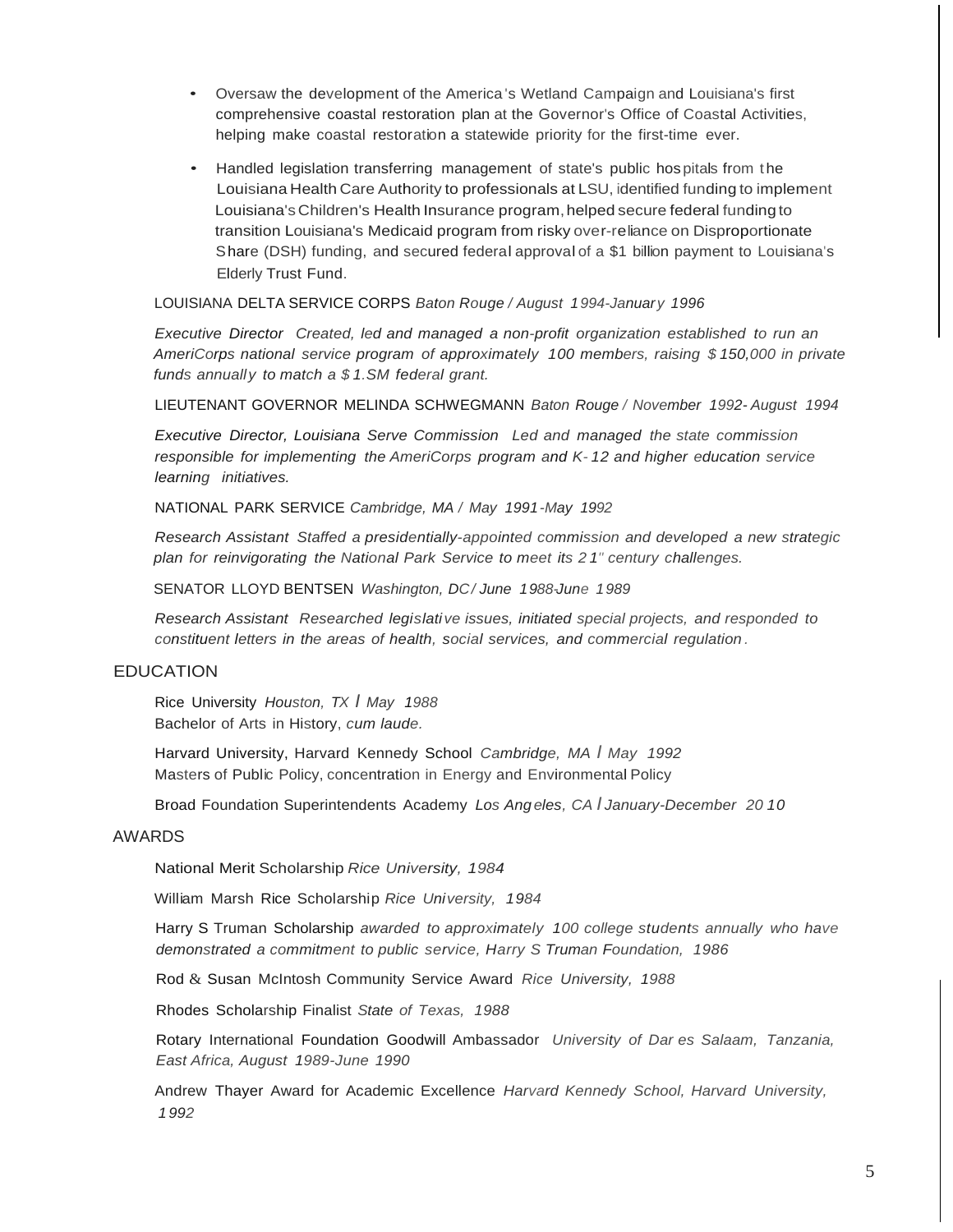- Oversaw the development of the America 's Wetland Campaign and Louisiana's first comprehensive coastal restoration plan at the Governor's Office of Coastal Activities, helping make coastal restoration a statewide priority for the first-time ever.
- Handled legislation transferring management of state's public hospitals from the Louisiana Health Care Authority to professionals at LSU, identified funding to implement Louisiana's Children's Health Insurance program,helped secure federal funding to transition Louisiana's Medicaid program from risky over-reliance on Disproportionate Share (DSH) funding, and secured federal approval of a \$1 billion payment to Louisiana's Elderly Trust Fund.

LOUISIANA DELTA SERVICE CORPS *Baton Rouge / August 1994-January 1996*

*Executive Director Created, led and managed a non-profit organization established to run an AmeriCorps national service program of approximately 100 members, raising \$ 150,000 in private funds annually to match a \$ 1.SM federal grant.*

LIEUTENANT GOVERNOR MELINDA SCHWEGMANN *Baton Rouge / November 1992- August 1994*

*Executive Director, Louisiana Serve Commission Led and managed the state commission responsible for implementing the AmeriCorps program and K- 12 and higher education service learning initiatives.*

NATIONAL PARK SERVICE *Cambridge, MA / May 1991-May 1992*

*Research Assistant Staffed a presidentially-appointed commission and developed a new strategic plan for reinvigorating the National Park Service to meet its 2 1" century challenges.*

SENATOR LLOYD BENTSEN *Washington, DC/ June 1988-June 1989*

*Research Assistant Researched legislative issues, initiated special projects, and responded to constituent letters in the areas of health, social services, and commercial regulation .*

#### EDUCATION

Rice University *Houston, TX I May 1988* Bachelor of Arts in History, *cum laude.*

Harvard University, Harvard Kennedy School *Cambridge, MA I May 1992* Masters of Public Policy, concentration in Energy and Environmental Policy

Broad Foundation Superintendents Academy *Los Ang eles, CA I January-December 20 10*

#### AWARDS

National Merit Scholarship *Rice University, 1984*

William Marsh Rice Scholarship *Rice University, 1984*

Harry S Truman Scholarship *awarded to approximately 100 college students annually who have demonstrated a commitment to public service, Harry S Truman Foundation, 1986*

Rod & Susan McIntosh Community Service Award *Rice University, 1988*

Rhodes Scholarship Finalist *State of Texas, 1988*

Rotary International Foundation Goodwill Ambassador *University of Dar es Salaam, Tanzania, East Africa, August 1989-June 1990*

Andrew Thayer Award for Academic Excellence *Harvard Kennedy School, Harvard University, 1992*